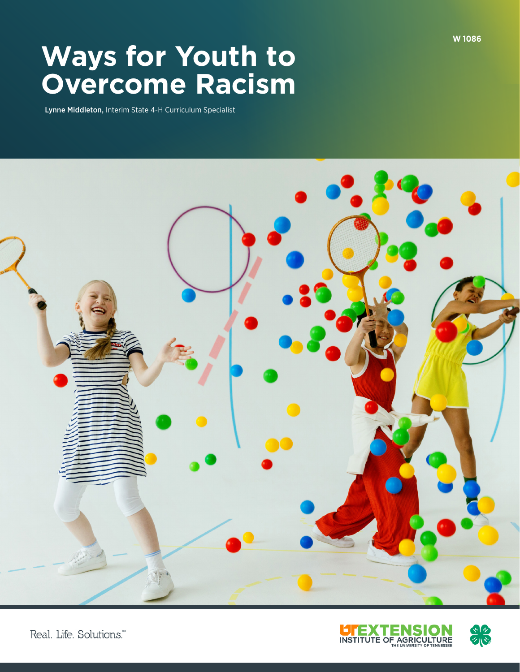# **Ways for Youth to Overcome Racism**

Lynne Middleton, Interim State 4-H Curriculum Specialist





Real. Life. Solutions."

**W 1086**